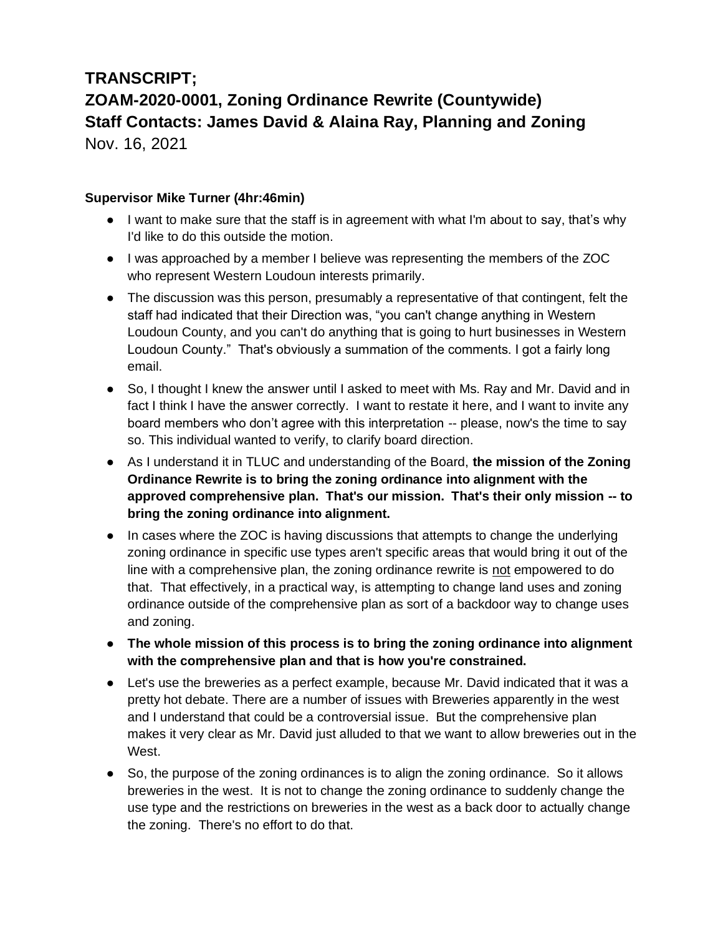## **TRANSCRIPT; ZOAM-2020-0001, Zoning Ordinance Rewrite (Countywide) Staff Contacts: James David & Alaina Ray, Planning and Zoning** Nov. 16, 2021

**Supervisor Mike Turner (4hr:46min)**

- I want to make sure that the staff is in agreement with what I'm about to say, that's why I'd like to do this outside the motion.
- I was approached by a member I believe was representing the members of the ZOC who represent Western Loudoun interests primarily.
- The discussion was this person, presumably a representative of that contingent, felt the staff had indicated that their Direction was, "you can't change anything in Western Loudoun County, and you can't do anything that is going to hurt businesses in Western Loudoun County." That's obviously a summation of the comments. I got a fairly long email.
- So, I thought I knew the answer until I asked to meet with Ms. Ray and Mr. David and in fact I think I have the answer correctly. I want to restate it here, and I want to invite any board members who don't agree with this interpretation -- please, now's the time to say so. This individual wanted to verify, to clarify board direction.
- As I understand it in TLUC and understanding of the Board, **the mission of the Zoning Ordinance Rewrite is to bring the zoning ordinance into alignment with the approved comprehensive plan. That's our mission. That's their only mission -- to bring the zoning ordinance into alignment.**
- In cases where the ZOC is having discussions that attempts to change the underlying zoning ordinance in specific use types aren't specific areas that would bring it out of the line with a comprehensive plan, the zoning ordinance rewrite is not empowered to do that. That effectively, in a practical way, is attempting to change land uses and zoning ordinance outside of the comprehensive plan as sort of a backdoor way to change uses and zoning.
- **The whole mission of this process is to bring the zoning ordinance into alignment with the comprehensive plan and that is how you're constrained.**
- Let's use the breweries as a perfect example, because Mr. David indicated that it was a pretty hot debate. There are a number of issues with Breweries apparently in the west and I understand that could be a controversial issue. But the comprehensive plan makes it very clear as Mr. David just alluded to that we want to allow breweries out in the West.
- So, the purpose of the zoning ordinances is to align the zoning ordinance. So it allows breweries in the west. It is not to change the zoning ordinance to suddenly change the use type and the restrictions on breweries in the west as a back door to actually change the zoning. There's no effort to do that.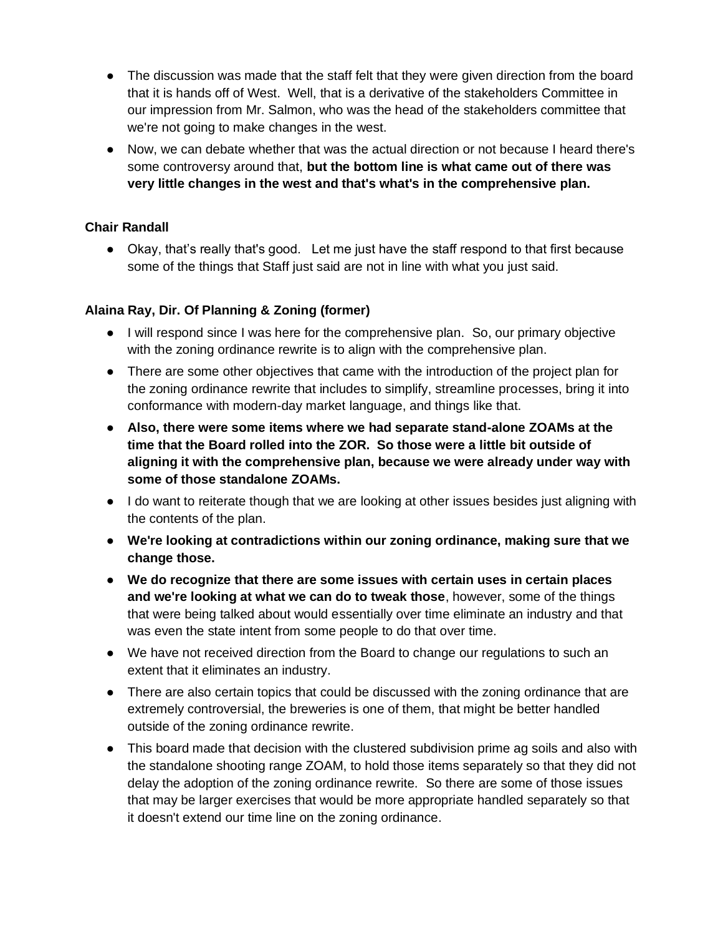- The discussion was made that the staff felt that they were given direction from the board that it is hands off of West. Well, that is a derivative of the stakeholders Committee in our impression from Mr. Salmon, who was the head of the stakeholders committee that we're not going to make changes in the west.
- Now, we can debate whether that was the actual direction or not because I heard there's some controversy around that, **but the bottom line is what came out of there was very little changes in the west and that's what's in the comprehensive plan.**

## **Chair Randall**

● Okay, that's really that's good. Let me just have the staff respond to that first because some of the things that Staff just said are not in line with what you just said.

## **Alaina Ray, Dir. Of Planning & Zoning (former)**

- I will respond since I was here for the comprehensive plan. So, our primary objective with the zoning ordinance rewrite is to align with the comprehensive plan.
- There are some other objectives that came with the introduction of the project plan for the zoning ordinance rewrite that includes to simplify, streamline processes, bring it into conformance with modern-day market language, and things like that.
- **Also, there were some items where we had separate stand-alone ZOAMs at the time that the Board rolled into the ZOR. So those were a little bit outside of aligning it with the comprehensive plan, because we were already under way with some of those standalone ZOAMs.**
- I do want to reiterate though that we are looking at other issues besides just aligning with the contents of the plan.
- **We're looking at contradictions within our zoning ordinance, making sure that we change those.**
- **We do recognize that there are some issues with certain uses in certain places and we're looking at what we can do to tweak those**, however, some of the things that were being talked about would essentially over time eliminate an industry and that was even the state intent from some people to do that over time.
- We have not received direction from the Board to change our regulations to such an extent that it eliminates an industry.
- There are also certain topics that could be discussed with the zoning ordinance that are extremely controversial, the breweries is one of them, that might be better handled outside of the zoning ordinance rewrite.
- This board made that decision with the clustered subdivision prime ag soils and also with the standalone shooting range ZOAM, to hold those items separately so that they did not delay the adoption of the zoning ordinance rewrite. So there are some of those issues that may be larger exercises that would be more appropriate handled separately so that it doesn't extend our time line on the zoning ordinance.